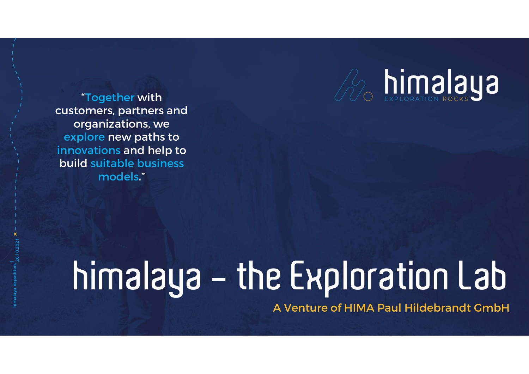

"Together with customers, partners and organizations, we<br>explore new paths to **"Together with<br>ustomers, partners and<br>organizations, we<br>explore new paths to<br>inovations and help to<br>puild suitable business** innovations and help to build suitable business models."

### |<br>| 26.10.2021<br>|himalaya expeditors A Venture of HIMA Paul Hildebrandt GmbH himalaya - the Exploration Lab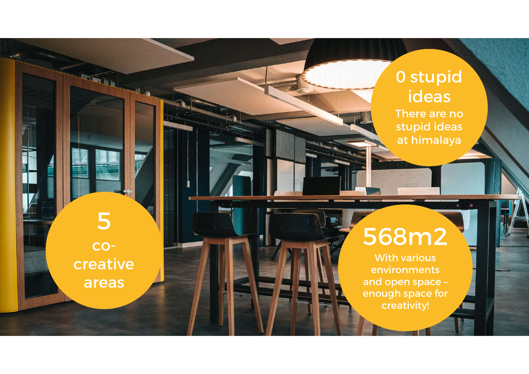

cocreative areas

5

P

**ANGEL** 

#### 568m2

With various environments and open space – enough space for creativity!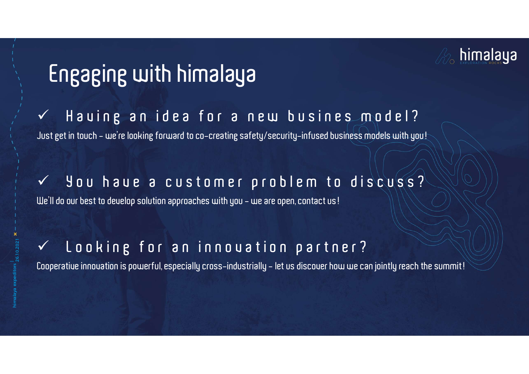

#### Engaging with himalaya

Engaging with himalaya<br>  $\checkmark$  Hauing an idea for a new busines model?<br>
Justget in touch - we're looking forward to co-creating safety/security-infused business models with you! Engaging with himalaya<br>
V Hauing an idea for a new busines model?<br>
Just get in touch - we're looking forward to co-creating safety/security-infused business models with you! We have been to delight and the a curvice of the state of the state of the state of the state of the state of the state of the state of the state of the state of the state of the state of the state of the state of the stat We'll do our best to develop solution approaches with you - we are open, contact us!

# ↓ you haue a customer problem to discuss?<br>We'll do our best to deuelop solution approaches with you – we are open, contact us!<br>↓ Looking for an innou ation partner?<br>Cooperatiue innouation is powerful, especially cross-ind

## | 26.10.2021 We'll do our best to develop solution approaches with you – we are open, contact us!<br>  $\checkmark$  L O O  $\checkmark$  in  $\checkmark$  f O  $\checkmark$  a n inno U a t i O n  $\rho$  a r t n e r ?<br>
Cooperative innovation is powerful, especially cross-indu

Cooperative innouation is powerful, especially cross-industrially - let us discouer how we can jointly reach the summit!